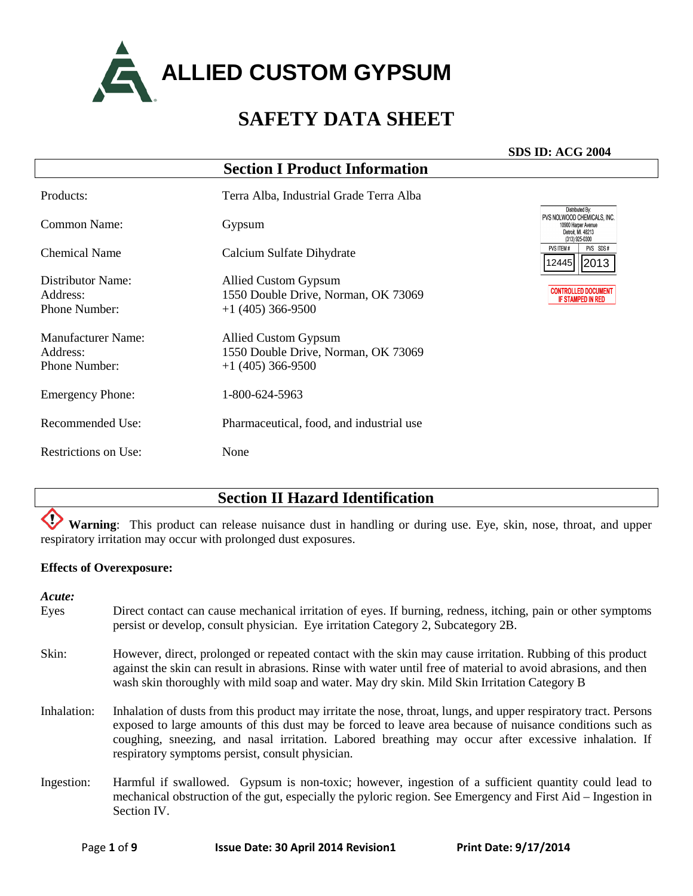

#### **SDS ID: ACG 2004**

| <b>Section I Product Information</b>                                               |                                                                                                               |
|------------------------------------------------------------------------------------|---------------------------------------------------------------------------------------------------------------|
| Terra Alba, Industrial Grade Terra Alba                                            |                                                                                                               |
| Gypsum                                                                             | Distributed By:<br>PVS NOLWOOD CHEMICALS. INC.<br>10900 Harper Avenue<br>Detroit. Ml. 48213<br>(313) 925-0300 |
| Calcium Sulfate Dihydrate                                                          | PVS SDS#<br>PVS ITEM#<br>2445 2013                                                                            |
| Allied Custom Gypsum<br>1550 Double Drive, Norman, OK 73069<br>$+1$ (405) 366-9500 | <b>CONTROLLED DOCUMENT</b><br><b>IF STAMPED IN RED</b>                                                        |
| Allied Custom Gypsum<br>1550 Double Drive, Norman, OK 73069<br>$+1$ (405) 366-9500 |                                                                                                               |
| 1-800-624-5963                                                                     |                                                                                                               |
| Pharmaceutical, food, and industrial use                                           |                                                                                                               |
| None                                                                               |                                                                                                               |
|                                                                                    |                                                                                                               |

### **Section II Hazard Identification**

O) **Warning**: This product can release nuisance dust in handling or during use. Eye, skin, nose, throat, and upper respiratory irritation may occur with prolonged dust exposures.

#### **Effects of Overexposure:**

*Acute:*

- Eyes Direct contact can cause mechanical irritation of eyes. If burning, redness, itching, pain or other symptoms persist or develop, consult physician. Eye irritation Category 2, Subcategory 2B.
- Skin: However, direct, prolonged or repeated contact with the skin may cause irritation. Rubbing of this product against the skin can result in abrasions. Rinse with water until free of material to avoid abrasions, and then wash skin thoroughly with mild soap and water. May dry skin. Mild Skin Irritation Category B
- Inhalation: Inhalation of dusts from this product may irritate the nose, throat, lungs, and upper respiratory tract. Persons exposed to large amounts of this dust may be forced to leave area because of nuisance conditions such as coughing, sneezing, and nasal irritation. Labored breathing may occur after excessive inhalation. If respiratory symptoms persist, consult physician.
- Ingestion: Harmful if swallowed. Gypsum is non-toxic; however, ingestion of a sufficient quantity could lead to mechanical obstruction of the gut, especially the pyloric region. See Emergency and First Aid – Ingestion in Section IV.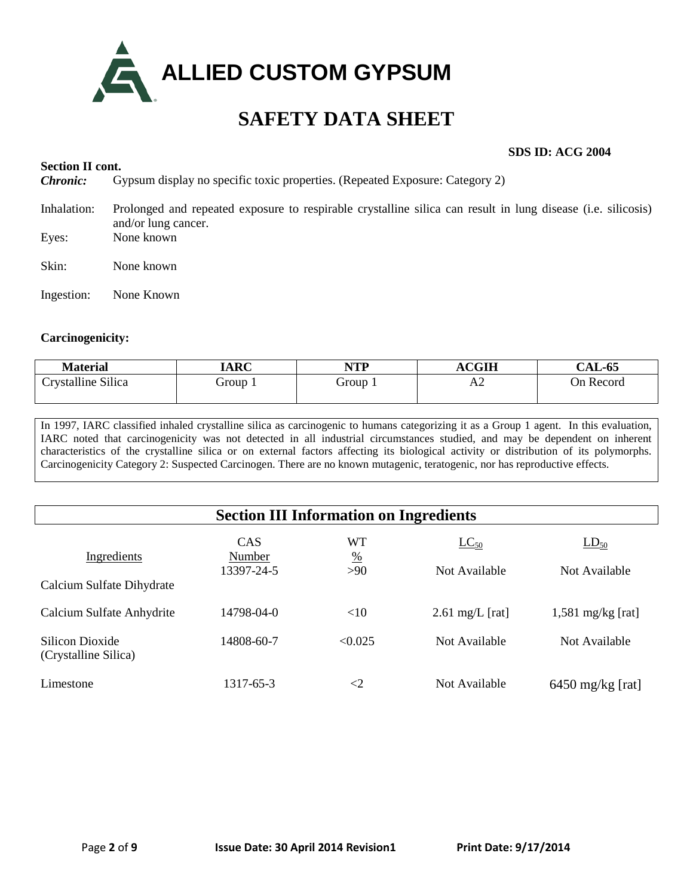

### **Section II cont.**

#### **SDS ID: ACG 2004**

*Chronic:* Gypsum display no specific toxic properties. (Repeated Exposure: Category 2)

- Inhalation: Prolonged and repeated exposure to respirable crystalline silica can result in lung disease (i.e. silicosis) and/or lung cancer. Eyes: None known
- Skin: None known
- Ingestion: None Known

#### **Carcinogenicity:**

| Material           | <b>IARC</b> | NTP<br>11 L L | $\bf{ACGIH}$ | <b>CAL-65</b> |
|--------------------|-------------|---------------|--------------|---------------|
| Crystalline Silica | Group 1     | Group 1       | ΔŹ           | On Record     |

In 1997, IARC classified inhaled crystalline silica as carcinogenic to humans categorizing it as a Group 1 agent. In this evaluation, IARC noted that carcinogenicity was not detected in all industrial circumstances studied, and may be dependent on inherent characteristics of the crystalline silica or on external factors affecting its biological activity or distribution of its polymorphs. Carcinogenicity Category 2: Suspected Carcinogen. There are no known mutagenic, teratogenic, nor has reproductive effects.

| <b>Section III Information on Ingredients</b> |                      |                     |                           |                     |
|-----------------------------------------------|----------------------|---------------------|---------------------------|---------------------|
| Ingredients                                   | <b>CAS</b><br>Number | WT<br>$\frac{0}{0}$ | $LC_{50}$                 | $LD_{50}$           |
|                                               | 13397-24-5           | $>90$               | Not Available             | Not Available       |
| Calcium Sulfate Dihydrate                     |                      |                     |                           |                     |
| Calcium Sulfate Anhydrite                     | 14798-04-0           | <10                 | $2.61 \text{ mg/L}$ [rat] | $1,581$ mg/kg [rat] |
| Silicon Dioxide<br>(Crystalline Silica)       | 14808-60-7           | < 0.025             | Not Available             | Not Available       |
| Limestone                                     | 1317-65-3            | ${<}2$              | Not Available             | $6450$ mg/kg [rat]  |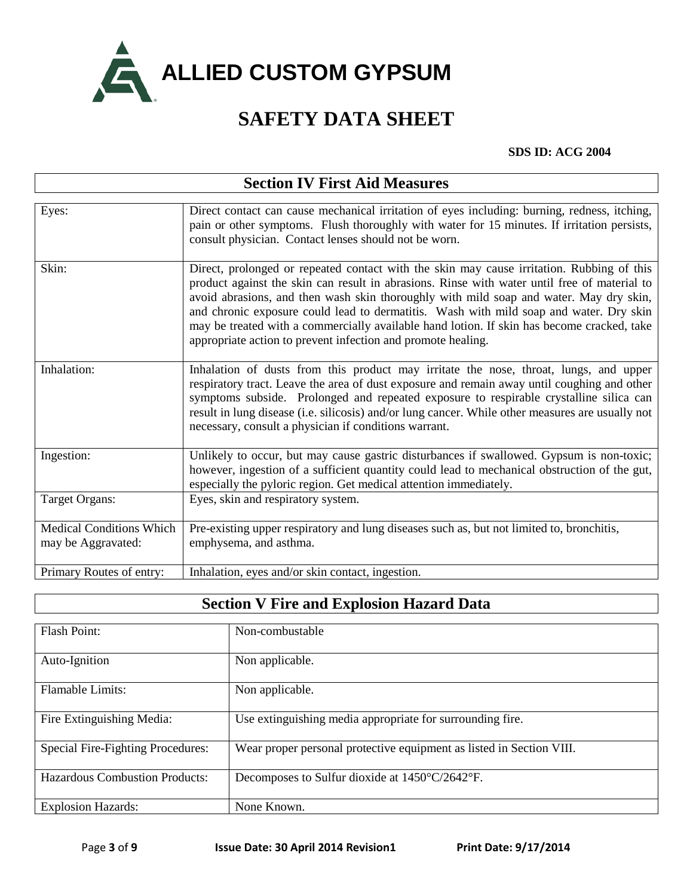

#### **SDS ID: ACG 2004**

| <b>Section IV First Aid Measures</b>                  |                                                                                                                                                                                                                                                                                                                                                                                                                                                                                                                                             |  |
|-------------------------------------------------------|---------------------------------------------------------------------------------------------------------------------------------------------------------------------------------------------------------------------------------------------------------------------------------------------------------------------------------------------------------------------------------------------------------------------------------------------------------------------------------------------------------------------------------------------|--|
| Eyes:                                                 | Direct contact can cause mechanical irritation of eyes including: burning, redness, itching,<br>pain or other symptoms. Flush thoroughly with water for 15 minutes. If irritation persists,<br>consult physician. Contact lenses should not be worn.                                                                                                                                                                                                                                                                                        |  |
| Skin:                                                 | Direct, prolonged or repeated contact with the skin may cause irritation. Rubbing of this<br>product against the skin can result in abrasions. Rinse with water until free of material to<br>avoid abrasions, and then wash skin thoroughly with mild soap and water. May dry skin,<br>and chronic exposure could lead to dermatitis. Wash with mild soap and water. Dry skin<br>may be treated with a commercially available hand lotion. If skin has become cracked, take<br>appropriate action to prevent infection and promote healing. |  |
| Inhalation:                                           | Inhalation of dusts from this product may irritate the nose, throat, lungs, and upper<br>respiratory tract. Leave the area of dust exposure and remain away until coughing and other<br>symptoms subside. Prolonged and repeated exposure to respirable crystalline silica can<br>result in lung disease (i.e. silicosis) and/or lung cancer. While other measures are usually not<br>necessary, consult a physician if conditions warrant.                                                                                                 |  |
| Ingestion:                                            | Unlikely to occur, but may cause gastric disturbances if swallowed. Gypsum is non-toxic;<br>however, ingestion of a sufficient quantity could lead to mechanical obstruction of the gut,<br>especially the pyloric region. Get medical attention immediately.                                                                                                                                                                                                                                                                               |  |
| <b>Target Organs:</b>                                 | Eyes, skin and respiratory system.                                                                                                                                                                                                                                                                                                                                                                                                                                                                                                          |  |
| <b>Medical Conditions Which</b><br>may be Aggravated: | Pre-existing upper respiratory and lung diseases such as, but not limited to, bronchitis,<br>emphysema, and asthma.                                                                                                                                                                                                                                                                                                                                                                                                                         |  |
| Primary Routes of entry:                              | Inhalation, eyes and/or skin contact, ingestion.                                                                                                                                                                                                                                                                                                                                                                                                                                                                                            |  |

### **Section V Fire and Explosion Hazard Data**

| <b>Flash Point:</b>                   | Non-combustable                                                      |
|---------------------------------------|----------------------------------------------------------------------|
| Auto-Ignition                         | Non applicable.                                                      |
| <b>Flamable Limits:</b>               | Non applicable.                                                      |
| Fire Extinguishing Media:             | Use extinguishing media appropriate for surrounding fire.            |
| Special Fire-Fighting Procedures:     | Wear proper personal protective equipment as listed in Section VIII. |
| <b>Hazardous Combustion Products:</b> | Decomposes to Sulfur dioxide at 1450°C/2642°F.                       |
| <b>Explosion Hazards:</b>             | None Known.                                                          |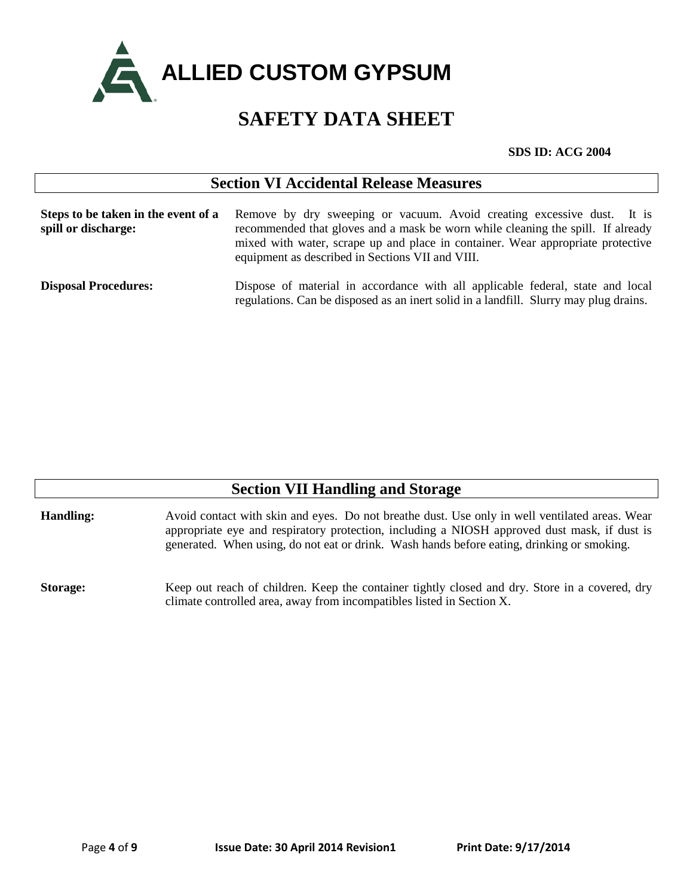

#### **SDS ID: ACG 2004**

| <b>Section VI Accidental Release Measures</b>              |                                                                                                                                                                                                                                                                                                  |  |
|------------------------------------------------------------|--------------------------------------------------------------------------------------------------------------------------------------------------------------------------------------------------------------------------------------------------------------------------------------------------|--|
| Steps to be taken in the event of a<br>spill or discharge: | Remove by dry sweeping or vacuum. Avoid creating excessive dust. It is<br>recommended that gloves and a mask be worn while cleaning the spill. If already<br>mixed with water, scrape up and place in container. Wear appropriate protective<br>equipment as described in Sections VII and VIII. |  |
| <b>Disposal Procedures:</b>                                | Dispose of material in accordance with all applicable federal, state and local<br>regulations. Can be disposed as an inert solid in a landfill. Slurry may plug drains.                                                                                                                          |  |

| <b>Section VII Handling and Storage</b> |                                                                                                                                                                                                                                                                                              |  |
|-----------------------------------------|----------------------------------------------------------------------------------------------------------------------------------------------------------------------------------------------------------------------------------------------------------------------------------------------|--|
| <b>Handling:</b>                        | Avoid contact with skin and eyes. Do not breathe dust. Use only in well ventilated areas. Wear<br>appropriate eye and respiratory protection, including a NIOSH approved dust mask, if dust is<br>generated. When using, do not eat or drink. Wash hands before eating, drinking or smoking. |  |
| <b>Storage:</b>                         | Keep out reach of children. Keep the container tightly closed and dry. Store in a covered, dry<br>climate controlled area, away from incompatibles listed in Section X.                                                                                                                      |  |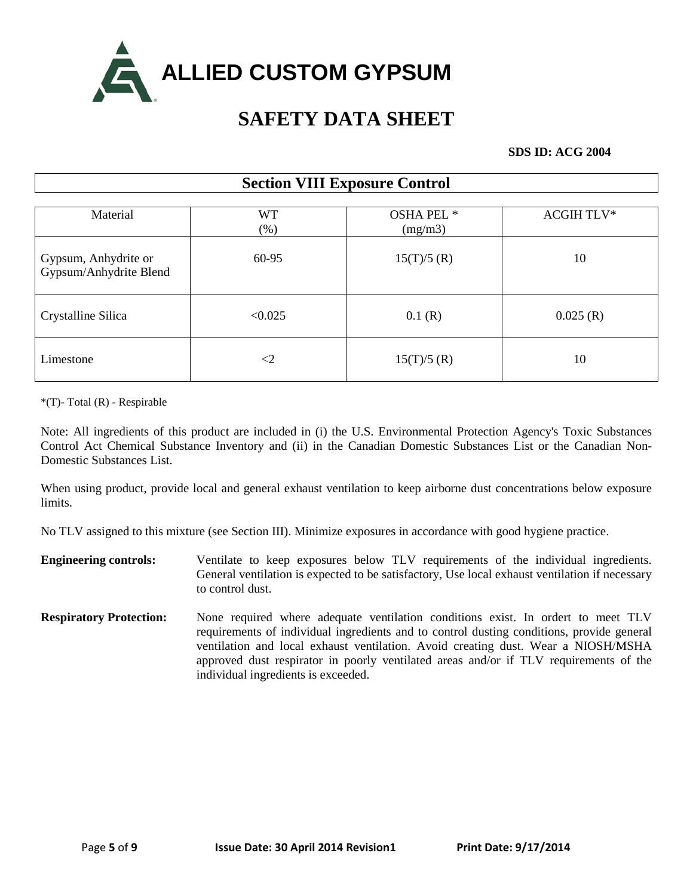

#### **SDS ID: ACG 2004**

### **Section VIII Exposure Control**

| Material                                       | <b>WT</b><br>$(\%)$ | OSHA PEL <sup>*</sup><br>(mg/m3) | <b>ACGIH TLV*</b> |
|------------------------------------------------|---------------------|----------------------------------|-------------------|
| Gypsum, Anhydrite or<br>Gypsum/Anhydrite Blend | 60-95               | $15(T)/5$ (R)                    | 10                |
| Crystalline Silica                             | < 0.025             | 0.1(R)                           | 0.025(R)          |
| Limestone                                      | $\leq$ 2            | 15(T)/5(R)                       | 10                |

\*(T)- Total (R) - Respirable

Note: All ingredients of this product are included in (i) the U.S. Environmental Protection Agency's Toxic Substances Control Act Chemical Substance Inventory and (ii) in the Canadian Domestic Substances List or the Canadian Non-Domestic Substances List.

When using product, provide local and general exhaust ventilation to keep airborne dust concentrations below exposure limits.

No TLV assigned to this mixture (see Section III). Minimize exposures in accordance with good hygiene practice.

- **Engineering controls:** Ventilate to keep exposures below TLV requirements of the individual ingredients. General ventilation is expected to be satisfactory, Use local exhaust ventilation if necessary to control dust.
- **Respiratory Protection:** None required where adequate ventilation conditions exist. In ordert to meet TLV requirements of individual ingredients and to control dusting conditions, provide general ventilation and local exhaust ventilation. Avoid creating dust. Wear a NIOSH/MSHA approved dust respirator in poorly ventilated areas and/or if TLV requirements of the individual ingredients is exceeded.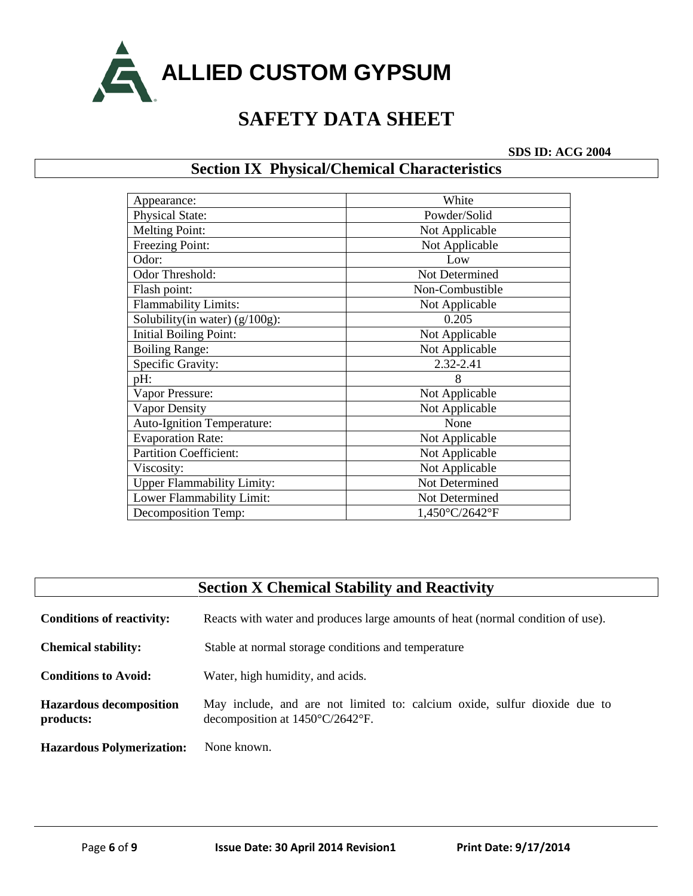

**SDS ID: ACG 2004**

### **Section IX Physical/Chemical Characteristics**

| Appearance:                       | White           |
|-----------------------------------|-----------------|
| <b>Physical State:</b>            | Powder/Solid    |
| <b>Melting Point:</b>             | Not Applicable  |
| Freezing Point:                   | Not Applicable  |
| Odor:                             | Low             |
| Odor Threshold:                   | Not Determined  |
| Flash point:                      | Non-Combustible |
| <b>Flammability Limits:</b>       | Not Applicable  |
| Solubility(in water) $(g/100g)$ : | 0.205           |
| <b>Initial Boiling Point:</b>     | Not Applicable  |
| <b>Boiling Range:</b>             | Not Applicable  |
| Specific Gravity:                 | 2.32-2.41       |
| pH:                               | 8               |
| Vapor Pressure:                   | Not Applicable  |
| <b>Vapor Density</b>              | Not Applicable  |
| <b>Auto-Ignition Temperature:</b> | None            |
| <b>Evaporation Rate:</b>          | Not Applicable  |
| <b>Partition Coefficient:</b>     | Not Applicable  |
| Viscosity:                        | Not Applicable  |
| <b>Upper Flammability Limity:</b> | Not Determined  |
| Lower Flammability Limit:         | Not Determined  |
| <b>Decomposition Temp:</b>        | 1,450°C/2642°F  |

| <b>Section X Chemical Stability and Reactivity</b> |                                                                                                                        |  |
|----------------------------------------------------|------------------------------------------------------------------------------------------------------------------------|--|
| <b>Conditions of reactivity:</b>                   | Reacts with water and produces large amounts of heat (normal condition of use).                                        |  |
| <b>Chemical stability:</b>                         | Stable at normal storage conditions and temperature                                                                    |  |
| <b>Conditions to Avoid:</b>                        | Water, high humidity, and acids.                                                                                       |  |
| <b>Hazardous decomposition</b><br>products:        | May include, and are not limited to: calcium oxide, sulfur dioxide due to<br>decomposition at $1450^{\circ}$ C/2642°F. |  |
| <b>Hazardous Polymerization:</b>                   | None known.                                                                                                            |  |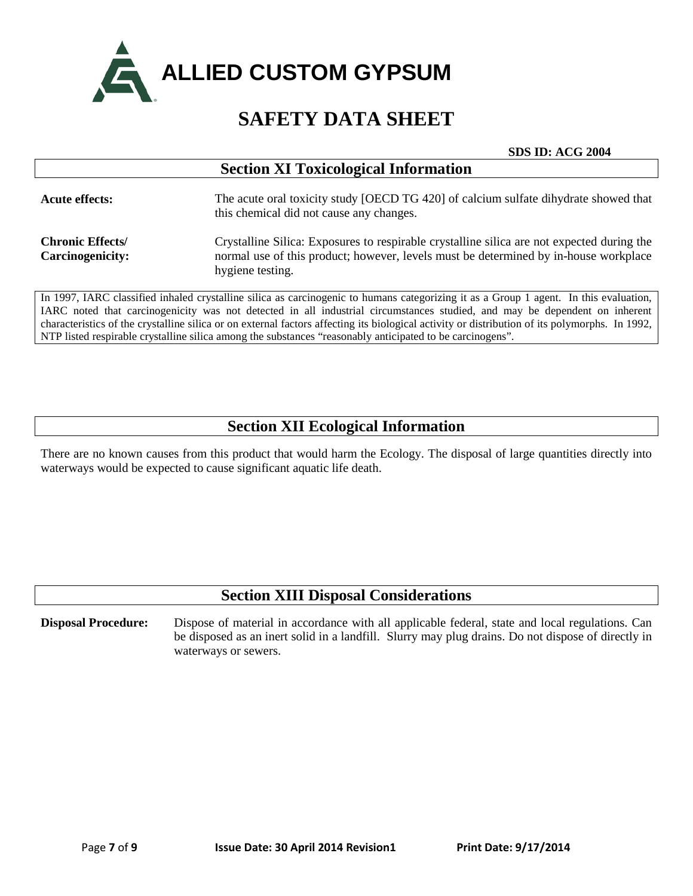

|  | <b>SDS ID: ACG 2004</b> |
|--|-------------------------|
|--|-------------------------|

| <b>Section XI Toxicological Information</b>        |                                                                                                                                                                                                        |  |
|----------------------------------------------------|--------------------------------------------------------------------------------------------------------------------------------------------------------------------------------------------------------|--|
| <b>Acute effects:</b>                              | The acute oral toxicity study [OECD TG 420] of calcium sulfate dihydrate showed that<br>this chemical did not cause any changes.                                                                       |  |
| <b>Chronic Effects/</b><br><b>Carcinogenicity:</b> | Crystalline Silica: Exposures to respirable crystalline silica are not expected during the<br>normal use of this product; however, levels must be determined by in-house workplace<br>hygiene testing. |  |

In 1997, IARC classified inhaled crystalline silica as carcinogenic to humans categorizing it as a Group 1 agent. In this evaluation, IARC noted that carcinogenicity was not detected in all industrial circumstances studied, and may be dependent on inherent characteristics of the crystalline silica or on external factors affecting its biological activity or distribution of its polymorphs. In 1992, NTP listed respirable crystalline silica among the substances "reasonably anticipated to be carcinogens".

### **Section XII Ecological Information**

There are no known causes from this product that would harm the Ecology. The disposal of large quantities directly into waterways would be expected to cause significant aquatic life death.

### **Section XIII Disposal Considerations**

**Disposal Procedure:** Dispose of material in accordance with all applicable federal, state and local regulations. Can be disposed as an inert solid in a landfill. Slurry may plug drains. Do not dispose of directly in waterways or sewers.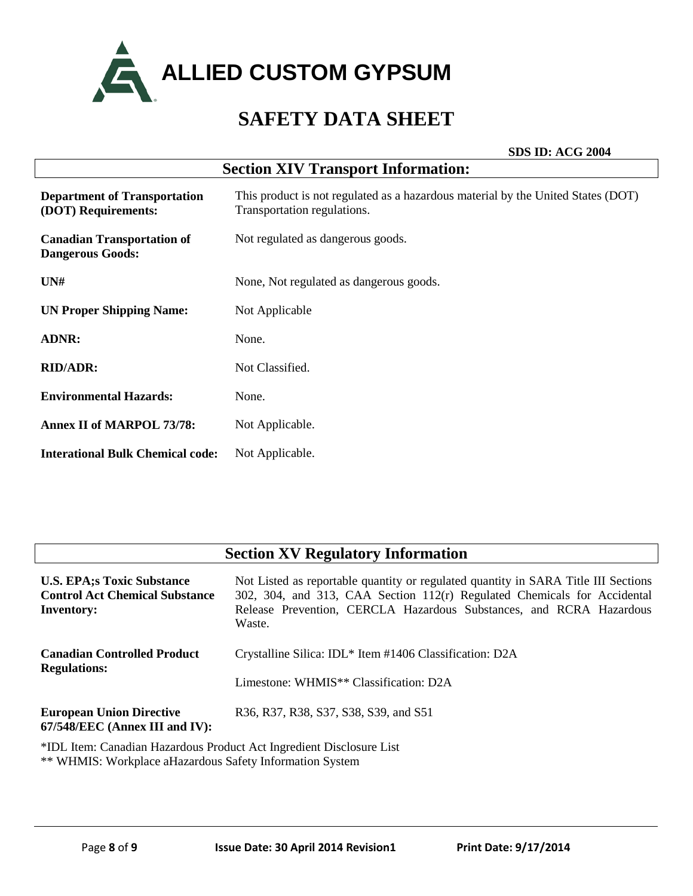

**SDS ID: ACG 2004**

| <b>Section XIV Transport Information:</b>                    |                                                                                                                 |  |
|--------------------------------------------------------------|-----------------------------------------------------------------------------------------------------------------|--|
| <b>Department of Transportation</b><br>(DOT) Requirements:   | This product is not regulated as a hazardous material by the United States (DOT)<br>Transportation regulations. |  |
| <b>Canadian Transportation of</b><br><b>Dangerous Goods:</b> | Not regulated as dangerous goods.                                                                               |  |
| UN#                                                          | None, Not regulated as dangerous goods.                                                                         |  |
| <b>UN Proper Shipping Name:</b>                              | Not Applicable                                                                                                  |  |
| <b>ADNR:</b>                                                 | None.                                                                                                           |  |
| <b>RID/ADR:</b>                                              | Not Classified.                                                                                                 |  |
| <b>Environmental Hazards:</b>                                | None.                                                                                                           |  |
| <b>Annex II of MARPOL 73/78:</b>                             | Not Applicable.                                                                                                 |  |
| <b>Interational Bulk Chemical code:</b>                      | Not Applicable.                                                                                                 |  |

### **Section XV Regulatory Information**

| <b>U.S. EPA;s Toxic Substance</b><br><b>Control Act Chemical Substance</b><br><b>Inventory:</b> | Not Listed as reportable quantity or regulated quantity in SARA Title III Sections<br>302, 304, and 313, CAA Section 112(r) Regulated Chemicals for Accidental<br>Release Prevention, CERCLA Hazardous Substances, and RCRA Hazardous<br>Waste. |
|-------------------------------------------------------------------------------------------------|-------------------------------------------------------------------------------------------------------------------------------------------------------------------------------------------------------------------------------------------------|
| <b>Canadian Controlled Product</b>                                                              | Crystalline Silica: IDL* Item #1406 Classification: D2A                                                                                                                                                                                         |
| <b>Regulations:</b>                                                                             | Limestone: WHMIS <sup>**</sup> Classification: D2A                                                                                                                                                                                              |
| <b>European Union Directive</b><br>67/548/EEC (Annex III and IV):                               | R36, R37, R38, S37, S38, S39, and S51                                                                                                                                                                                                           |
| *IDL Item: Canadian Hazardous Product Act Ingredient Disclosure List                            |                                                                                                                                                                                                                                                 |

ardous Product Act Ingredient Disclosu \*\* WHMIS: Workplace aHazardous Safety Information System